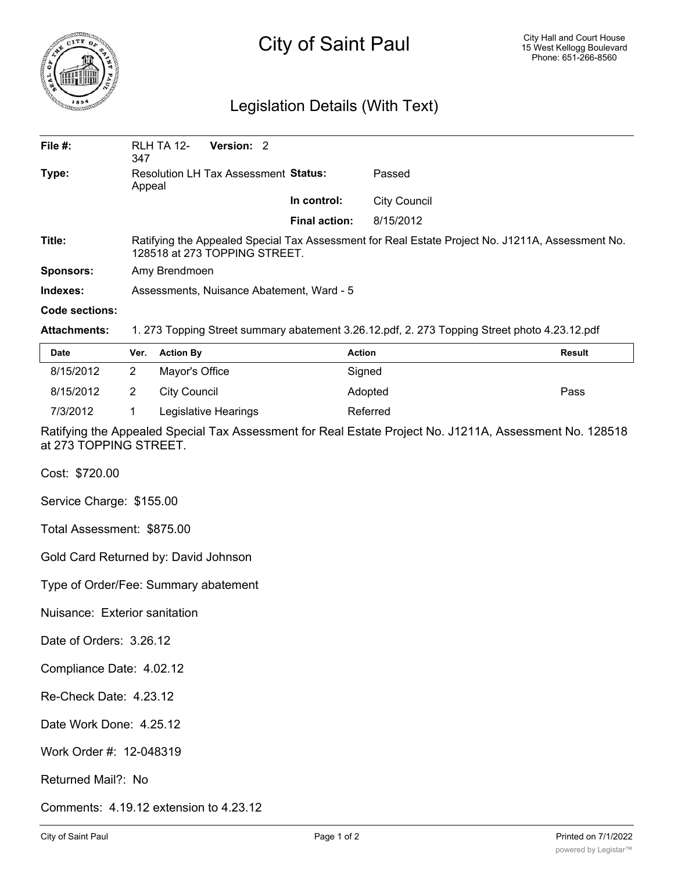

## City of Saint Paul

## Legislation Details (With Text)

| File $#$ :          | RLH TA 12-<br>Version: 2<br>347                                                                                                   |                      |                     |  |  |
|---------------------|-----------------------------------------------------------------------------------------------------------------------------------|----------------------|---------------------|--|--|
| Type:               | Resolution LH Tax Assessment Status:<br>Appeal                                                                                    |                      | Passed              |  |  |
|                     |                                                                                                                                   | In control:          | <b>City Council</b> |  |  |
|                     |                                                                                                                                   | <b>Final action:</b> | 8/15/2012           |  |  |
| Title:              | Ratifying the Appealed Special Tax Assessment for Real Estate Project No. J1211A, Assessment No.<br>128518 at 273 TOPPING STREET. |                      |                     |  |  |
| <b>Sponsors:</b>    | Amy Brendmoen                                                                                                                     |                      |                     |  |  |
| Indexes:            | Assessments, Nuisance Abatement, Ward - 5                                                                                         |                      |                     |  |  |
| Code sections:      |                                                                                                                                   |                      |                     |  |  |
| <b>Attachments:</b> | 1. 273 Topping Street summary abatement 3.26.12.pdf, 2. 273 Topping Street photo 4.23.12.pdf                                      |                      |                     |  |  |

| <b>Date</b> | Ver. | <b>Action By</b>     | Action   | <b>Result</b> |
|-------------|------|----------------------|----------|---------------|
| 8/15/2012   |      | Mayor's Office       | Signed   |               |
| 8/15/2012   |      | City Council         | Adopted  | Pass          |
| 7/3/2012    |      | Legislative Hearings | Referred |               |

Ratifying the Appealed Special Tax Assessment for Real Estate Project No. J1211A, Assessment No. 128518 at 273 TOPPING STREET.

Cost: \$720.00

Service Charge: \$155.00

Total Assessment: \$875.00

Gold Card Returned by: David Johnson

Type of Order/Fee: Summary abatement

Nuisance: Exterior sanitation

Date of Orders: 3.26.12

Compliance Date: 4.02.12

Re-Check Date: 4.23.12

Date Work Done: 4.25.12

Work Order #: 12-048319

Returned Mail?: No

Comments: 4.19.12 extension to 4.23.12